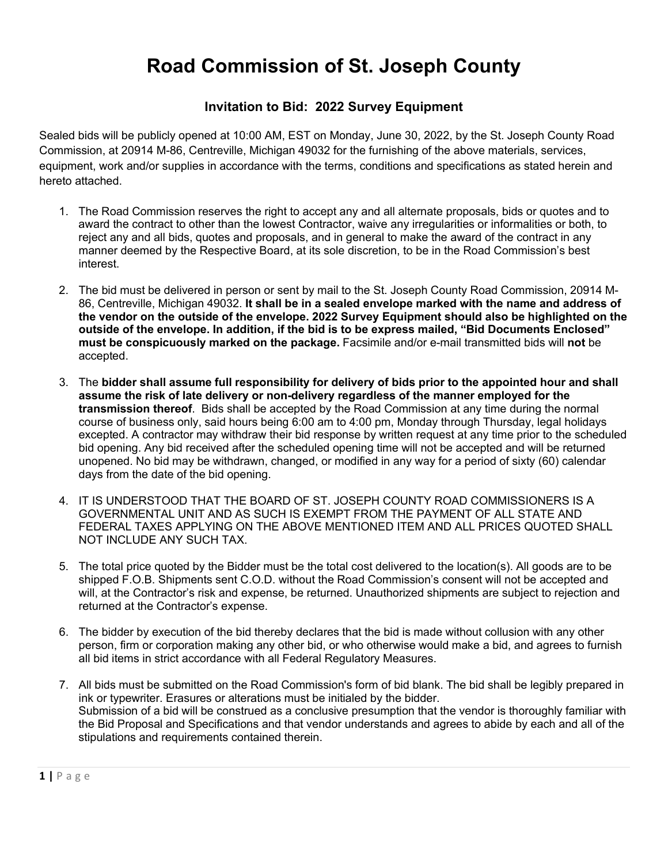# **Road Commission of St. Joseph County**

## **Invitation to Bid: 2022 Survey Equipment**

Sealed bids will be publicly opened at 10:00 AM, EST on Monday, June 30, 2022, by the St. Joseph County Road Commission, at 20914 M-86, Centreville, Michigan 49032 for the furnishing of the above materials, services, equipment, work and/or supplies in accordance with the terms, conditions and specifications as stated herein and hereto attached.

- 1. The Road Commission reserves the right to accept any and all alternate proposals, bids or quotes and to award the contract to other than the lowest Contractor, waive any irregularities or informalities or both, to reject any and all bids, quotes and proposals, and in general to make the award of the contract in any manner deemed by the Respective Board, at its sole discretion, to be in the Road Commission's best interest.
- 2. The bid must be delivered in person or sent by mail to the St. Joseph County Road Commission, 20914 M-86, Centreville, Michigan 49032. **It shall be in a sealed envelope marked with the name and address of the vendor on the outside of the envelope. 2022 Survey Equipment should also be highlighted on the outside of the envelope. In addition, if the bid is to be express mailed, "Bid Documents Enclosed" must be conspicuously marked on the package.** Facsimile and/or e-mail transmitted bids will **not** be accepted.
- 3. The **bidder shall assume full responsibility for delivery of bids prior to the appointed hour and shall assume the risk of late delivery or non-delivery regardless of the manner employed for the transmission thereof**. Bids shall be accepted by the Road Commission at any time during the normal course of business only, said hours being 6:00 am to 4:00 pm, Monday through Thursday, legal holidays excepted. A contractor may withdraw their bid response by written request at any time prior to the scheduled bid opening. Any bid received after the scheduled opening time will not be accepted and will be returned unopened. No bid may be withdrawn, changed, or modified in any way for a period of sixty (60) calendar days from the date of the bid opening.
- 4. IT IS UNDERSTOOD THAT THE BOARD OF ST. JOSEPH COUNTY ROAD COMMISSIONERS IS A GOVERNMENTAL UNIT AND AS SUCH IS EXEMPT FROM THE PAYMENT OF ALL STATE AND FEDERAL TAXES APPLYING ON THE ABOVE MENTIONED ITEM AND ALL PRICES QUOTED SHALL NOT INCLUDE ANY SUCH TAX.
- 5. The total price quoted by the Bidder must be the total cost delivered to the location(s). All goods are to be shipped F.O.B. Shipments sent C.O.D. without the Road Commission's consent will not be accepted and will, at the Contractor's risk and expense, be returned. Unauthorized shipments are subject to rejection and returned at the Contractor's expense.
- 6. The bidder by execution of the bid thereby declares that the bid is made without collusion with any other person, firm or corporation making any other bid, or who otherwise would make a bid, and agrees to furnish all bid items in strict accordance with all Federal Regulatory Measures.
- 7. All bids must be submitted on the Road Commission's form of bid blank. The bid shall be legibly prepared in ink or typewriter. Erasures or alterations must be initialed by the bidder. Submission of a bid will be construed as a conclusive presumption that the vendor is thoroughly familiar with the Bid Proposal and Specifications and that vendor understands and agrees to abide by each and all of the stipulations and requirements contained therein.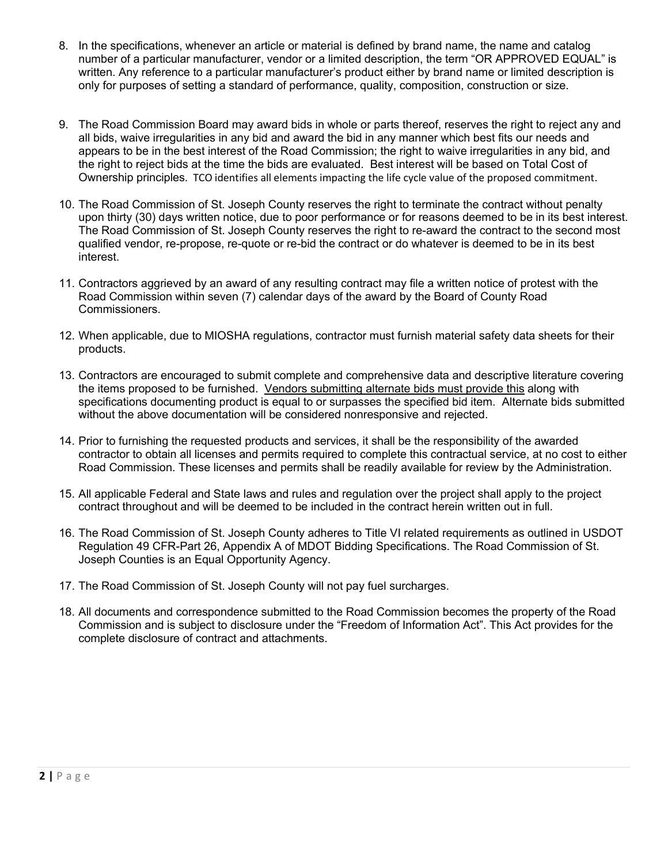- 8. In the specifications, whenever an article or material is defined by brand name, the name and catalog number of a particular manufacturer, vendor or a limited description, the term "OR APPROVED EQUAL" is written. Any reference to a particular manufacturer's product either by brand name or limited description is only for purposes of setting a standard of performance, quality, composition, construction or size.
- 9. The Road Commission Board may award bids in whole or parts thereof, reserves the right to reject any and all bids, waive irregularities in any bid and award the bid in any manner which best fits our needs and appears to be in the best interest of the Road Commission; the right to waive irregularities in any bid, and the right to reject bids at the time the bids are evaluated. Best interest will be based on Total Cost of Ownership principles. TCO identifies all elements impacting the life cycle value of the proposed commitment.
- 10. The Road Commission of St. Joseph County reserves the right to terminate the contract without penalty upon thirty (30) days written notice, due to poor performance or for reasons deemed to be in its best interest. The Road Commission of St. Joseph County reserves the right to re-award the contract to the second most qualified vendor, re-propose, re-quote or re-bid the contract or do whatever is deemed to be in its best interest.
- 11. Contractors aggrieved by an award of any resulting contract may file a written notice of protest with the Road Commission within seven (7) calendar days of the award by the Board of County Road Commissioners.
- 12. When applicable, due to MIOSHA regulations, contractor must furnish material safety data sheets for their products.
- 13. Contractors are encouraged to submit complete and comprehensive data and descriptive literature covering the items proposed to be furnished. Vendors submitting alternate bids must provide this along with specifications documenting product is equal to or surpasses the specified bid item. Alternate bids submitted without the above documentation will be considered nonresponsive and rejected.
- 14. Prior to furnishing the requested products and services, it shall be the responsibility of the awarded contractor to obtain all licenses and permits required to complete this contractual service, at no cost to either Road Commission. These licenses and permits shall be readily available for review by the Administration.
- 15. All applicable Federal and State laws and rules and regulation over the project shall apply to the project contract throughout and will be deemed to be included in the contract herein written out in full.
- 16. The Road Commission of St. Joseph County adheres to Title VI related requirements as outlined in USDOT Regulation 49 CFR-Part 26, Appendix A of MDOT Bidding Specifications. The Road Commission of St. Joseph Counties is an Equal Opportunity Agency.
- 17. The Road Commission of St. Joseph County will not pay fuel surcharges.
- 18. All documents and correspondence submitted to the Road Commission becomes the property of the Road Commission and is subject to disclosure under the "Freedom of Information Act". This Act provides for the complete disclosure of contract and attachments.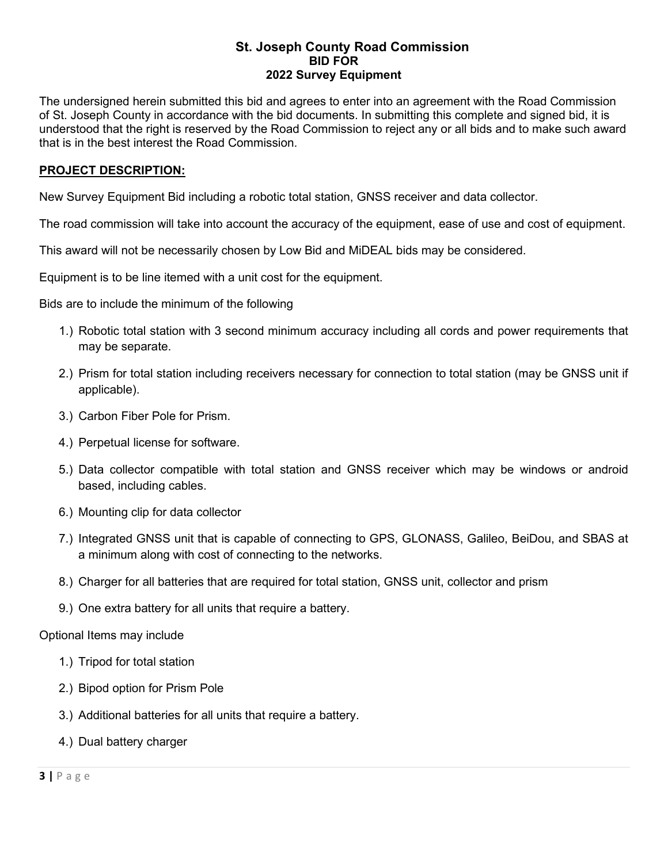#### **St. Joseph County Road Commission BID FOR 2022 Survey Equipment**

The undersigned herein submitted this bid and agrees to enter into an agreement with the Road Commission of St. Joseph County in accordance with the bid documents. In submitting this complete and signed bid, it is understood that the right is reserved by the Road Commission to reject any or all bids and to make such award that is in the best interest the Road Commission.

### **PROJECT DESCRIPTION:**

New Survey Equipment Bid including a robotic total station, GNSS receiver and data collector.

The road commission will take into account the accuracy of the equipment, ease of use and cost of equipment.

This award will not be necessarily chosen by Low Bid and MiDEAL bids may be considered.

Equipment is to be line itemed with a unit cost for the equipment.

Bids are to include the minimum of the following

- 1.) Robotic total station with 3 second minimum accuracy including all cords and power requirements that may be separate.
- 2.) Prism for total station including receivers necessary for connection to total station (may be GNSS unit if applicable).
- 3.) Carbon Fiber Pole for Prism.
- 4.) Perpetual license for software.
- 5.) Data collector compatible with total station and GNSS receiver which may be windows or android based, including cables.
- 6.) Mounting clip for data collector
- 7.) Integrated GNSS unit that is capable of connecting to GPS, GLONASS, Galileo, BeiDou, and SBAS at a minimum along with cost of connecting to the networks.
- 8.) Charger for all batteries that are required for total station, GNSS unit, collector and prism
- 9.) One extra battery for all units that require a battery.

Optional Items may include

- 1.) Tripod for total station
- 2.) Bipod option for Prism Pole
- 3.) Additional batteries for all units that require a battery.
- 4.) Dual battery charger